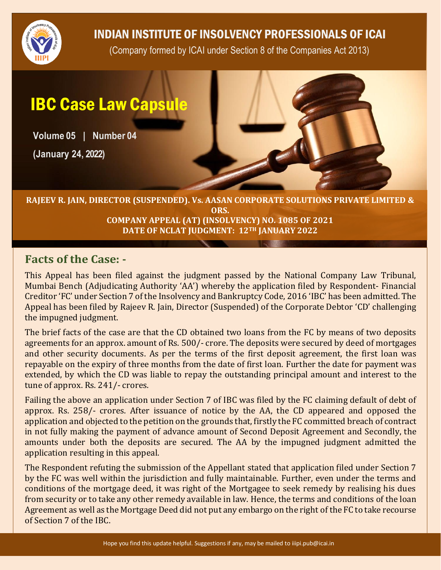

## INDIAN INSTITUTE OF INSOLVENCY PROFESSIONALS OF ICAI

(Company formed by ICAI under Section 8 of the Companies Act 2013)

# IBC Case Law Capsule

**Volume 05 | Number 04**

**(January 24, 2022)**



#### **RAJEEV R. JAIN, DIRECTOR (SUSPENDED). Vs. AASAN CORPORATE SOLUTIONS PRIVATE LIMITED & ORS. COMPANY APPEAL (AT) (INSOLVENCY) NO. 1085 OF 2021 DATE OF NCLAT JUDGMENT: 12TH JANUARY 2022**

#### **Facts of the Case: -**

This Appeal has been filed against the judgment passed by the National Company Law Tribunal, Mumbai Bench (Adjudicating Authority 'AA') whereby the application filed by Respondent- Financial Creditor 'FC' under Section 7 of the Insolvency and Bankruptcy Code, 2016 'IBC' has been admitted. The Appeal has been filed by Rajeev R. Jain, Director (Suspended) of the Corporate Debtor 'CD' challenging the impugned judgment.

The brief facts of the case are that the CD obtained two loans from the FC by means of two deposits agreements for an approx. amount of Rs. 500/- crore. The deposits were secured by deed of mortgages and other security documents. As per the terms of the first deposit agreement, the first loan was repayable on the expiry of three months from the date of first loan. Further the date for payment was extended, by which the CD was liable to repay the outstanding principal amount and interest to the tune of approx. Rs. 241/- crores.

Failing the above an application under Section 7 of IBC was filed by the FC claiming default of debt of approx. Rs. 258/- crores. After issuance of notice by the AA, the CD appeared and opposed the application and objected to the petition on the grounds that, firstly the FC committed breach of contract in not fully making the payment of advance amount of Second Deposit Agreement and Secondly, the amounts under both the deposits are secured. The AA by the impugned judgment admitted the application resulting in this appeal.

The Respondent refuting the submission of the Appellant stated that application filed under Section 7 by the FC was well within the jurisdiction and fully maintainable. Further, even under the terms and conditions of the mortgage deed, it was right of the Mortgagee to seek remedy by realising his dues from security or to take any other remedy available in law. Hence, the terms and conditions of the loan Agreement as well as the Mortgage Deed did not put any embargo on the right of the FC to take recourse of Section 7 of the IBC.